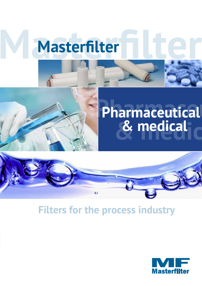

## **Pharmaceutical Pharmaceutical & medical device & medical**



### **Filters for the process industry**

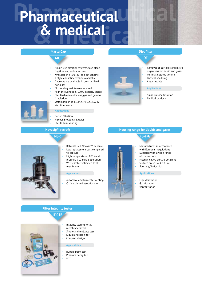## **Pharmaceutical & medical Pharmaceutical & medical**

#### **MasterCap**

### **MC**

- Single-use filtration systems, save cleaning time and validation cost
- Available in 5", 10", 20" and 30" lengths T-style and inline versions available
- Capsules are available in pre-sterilized packages
- No housing maintenace required
- High throughput & 100% integrity tested
- Sterilisable in autoclave, gas and gamma irradiation
- Obtainable in DPES, PES, PVD, SLF, APK, etc.. filtermedia

#### **Applications**

- Serum filtration
- Viscous Biological Liquids
- Sterile Tank venting

#### **NovasipTM retrofit**

#### **NSR**

- Retrofits Pall Novasip™ capsule Low replacement cost compared
- to capsule • High temperature ( 80° ) and
- pressure ( 10 barg ) operation
- WIT testable validated PTFE membrane

#### **Applications**

• Autoclave and fermenter venting

#### **Filter integrity tester IT-01B**

- Integrity testing for all membrane filters
- Single and multiple test
- Liquid and gas filter
- Compact design

#### **Applications**

- Bubble point test
- Pressure decay test
- WIT

## • Critical air and vent filtration

#### **Disc filter DF**

• Removal of particles and microorganisms for liquid and gases • Minimal hold-up volume

- Partical shedding
- Autoclavable

#### **Applications**

- Small volume filtration
- Medical products

#### **Housing range for liquids and gases**





- Manufactured in accordance with European regulations
- Supplied with a wide range
- of connections
- Mechanically / electro polishing
- Surface finish  $Ra < 0.8$  µm
- Sanitary / industrial

#### **Applications**

- Liquid filtration
- Gas filtration
- Vent filtration





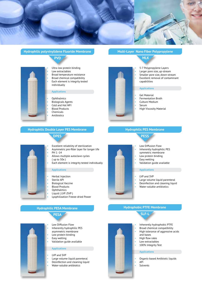

**Hydrophilic polyvinylidene Fluoride Membrane**



- Ultra low protein binding • Low extractables • Broad temperature resistance • Broad chemical compatibility Each element is integrity tested individually  **Applications** • Ophthalmics • Biologicals Agents
	- Cold and Hot WFI
	- Blood Products
	- Chemicals
	- **Antibiotics**

#### **Multi-Layer Nano Fiber Polypropylene**



- 5-7 Polypropylene Layers
- Larger pore size, up-stream
- Smaller pore size, down-stream
- Excellent removal of contaminant capabilities

#### **Applications**

- Gel Material
- Fermentation Broth
- Culture Medium
- Serum
- High Viscosity Material

#### **Hydrophilic Double Layer PES Membrane DPES**



- Excellent reliability of sterilization
- Asymmetric pre-filter layer for longer life PH 1-14
- Allows multiple autoclave cycles ( up to 50x )
- Each element is integrity tested individually

#### **Applications**

- Herbal Injection
- Sterile API
- Biological Vaccine
- **Blood Products**
- Ophthalmics
- Liquid ( LVP /SVP )
- Lyophilization Freeze-dried Power

#### **Hydrophilic PESA Membrane**



- Low Diffusion Flow
- Inherently hydrophilic PES
- asymmetric membrane Low protein binding
- Easy wetting
- Validation guide available

#### **Applications**

- LVP and SVP
- Large volume liquid parenteral
- Desinfection and cleaning liquid
- Water-soluble antibiotics



#### **Hydrophilic PES Membrane**



- Low Diffusion Flow
- Inherently hydrophilic PES
- symmetric membrane
- Low protein binding
- Easy wetting
- Validation guide available
	- LVP and SVP
- 
- Desinfection and cleaning liquid
- Water-soluble antibiotics

#### **Hydrophobic PTFE Membrane**

- Inherently hydrophobic PTFE
- Broad chemical compatibility
- High tolerance of aggressive acids and bases
- High flow rates
- Low extractables
- 100% Integrity Test

#### **Applications**

- Organic-based Antibiotic liquids
- API **Solvents**

#### **Applications**

- 
- Large volume liquid parenteral
- 
- 
- 

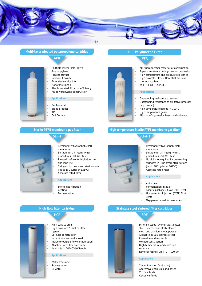

#### **Multi-layer pleated polypropylene cartridge**





- Multiple layers Melt-Blown
- Polypropylene • Pleated surface
- 
- Superior flowrate • Extended service life
- 
- Nano fibre media
- Absolute-rated filtration efficiency
- All polypropylene construction

#### **Applications**

- Gel Material
- Blood product
- API
- Cell Culture

#### **Sterile PTFE membrane gas filter**



- 
- Permanently hydrophobic PTFE membrane
- Suitable for all intergrity test procedures, incl. WIT test
- Pleated surface for high flow rate and long life
- Stringent in line steam sterilisations ( up to 150 cycles at 121°C )
- Absolute rated filter

#### **Applications**

- Sterile gas filtration
- **Venting Fermentation**

### **High flow filter cartridge**

**HCF**



- High surface area
- High flow rate / smaller filter systems
- Coreless construction
- to minimize waste disposal
- Inside to outside flow configuration
- Absolute rated filter medium
- Available in 20"-40"-60" lenghts

#### **Applications**

- Water treatment
- Process water
- DI water



#### **All – Polyfluorene Filter**



- All-fluoropolymer material of construction
- Superior resistance during chemical processing
- High temperature and pressure resistance
- High flowrate low differential pressure
- Low ectractables
- WIT IN LINE TESTABLE

#### **Applications**

- Outstanding resistance to solvents
- Outstanding resistance to oxidative products ( e.g. ozone )
- High temperature liquids ( > 100°C )
- High temperature gases
- All kind of aggressive bases and solvents

#### **High temperature Sterile PTFE membrane gas filter**



- Permanently hydrophobic PTFE membrane
- Suitable for all intergrity test procedures, incl. WIT test
- No alchohol required for pre-wetting Stringent in - line steam sterilisations ( up to 100 cycles at 142°C )
- Absolute rated filter
- 

#### **Applications**

- Autoclave
- Fermentation Inlet air
- Aseptic package / blow fill seal
- Hot water for injection ( WFI ) Tank
- vents
- Oxygen-enriched fermented Air

#### **Stainless steel sintered filter cartridges**



• Different types : Cylindrical stainless steel sintered, wire cloth, pleated mesh and titanium metal powder • Available in 316 stainless steel

- Cleanable and re-usable
- Welded construction
- High temperature and corrosion resistant
- Removal rating ( $\mu$ m) : 1 100  $\mu$ m

#### **Applications**

- Steam filtration ( culinary )
- Aggressive chemicals and gases
- Viscous fluids
- Corrosive fluids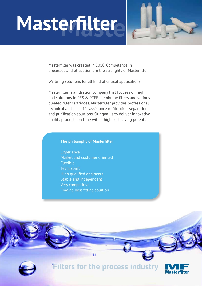

Masterfilter was created in 2010. Competence in processes and utilization are the strenghts of Masterfilter.

We bring solutions for all kind of critical applications.

Masterfilter is a filtration company that focuses on high end solutions in PES & PTFE membrane filters and various pleated filter cartridges. Masterfilter provides professional technical and scientific assistance to filtration, separation and purification solutions. Our goal is to deliver innovative quality products on time with a high cost saving potential.

#### **The philosophy of Masterfilter**

 Experience Market and customer oriented Flexible Team spirit High qualified engineers Stable and independent Very competitive Finding best fitting solution